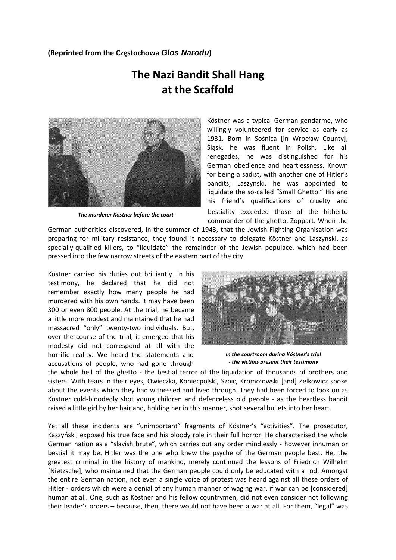## **(Reprinted from the Częstochowa** *Glos Narodu***)**

## **The Nazi Bandit Shall Hang at the Scaffold**



*The murderer Köstner before the court*

Köstner was a typical German gendarme, who willingly volunteered for service as early as 1931. Born in Sośnica [in Wrocław County], Śląsk, he was fluent in Polish. Like all renegades, he was distinguished for his German obedience and heartlessness. Known for being a sadist, with another one of Hitler's bandits, Laszynski, he was appointed to liquidate the so‐called "Small Ghetto." His and his friend's qualifications of cruelty and bestiality exceeded those of the hitherto commander of the ghetto, Zoppart. When the

German authorities discovered, in the summer of 1943, that the Jewish Fighting Organisation was preparing for military resistance, they found it necessary to delegate Köstner and Laszynski, as specially-qualified killers, to "liquidate" the remainder of the Jewish populace, which had been pressed into the few narrow streets of the eastern part of the city.

Köstner carried his duties out brilliantly. In his testimony, he declared that he did not remember exactly how many people he had murdered with his own hands. It may have been 300 or even 800 people. At the trial, he became a little more modest and maintained that he had massacred "only" twenty-two individuals. But, over the course of the trial, it emerged that his modesty did not correspond at all with the horrific reality. We heard the statements and accusations of people, who had gone through



*In the courtroom during Köstner's trial ‐ the victims present their testimony* 

the whole hell of the ghetto - the bestial terror of the liquidation of thousands of brothers and sisters. With tears in their eyes, Owieczka, Koniecpolski, Szpic, Kromołowski [and] Zelkowicz spoke about the events which they had witnessed and lived through. They had been forced to look on as Köstner cold‐bloodedly shot young children and defenceless old people ‐ as the heartless bandit raised a little girl by her hair and, holding her in this manner, shot several bullets into her heart.

Yet all these incidents are "unimportant" fragments of Köstner's "activities". The prosecutor, Kaszyński, exposed his true face and his bloody role in their full horror. He characterised the whole German nation as a "slavish brute", which carries out any order mindlessly ‐ however inhuman or bestial it may be. Hitler was the one who knew the psyche of the German people best. He, the greatest criminal in the history of mankind, merely continued the lessons of Friedrich Wilhelm [Nietzsche], who maintained that the German people could only be educated with a rod. Amongst the entire German nation, not even a single voice of protest was heard against all these orders of Hitler - orders which were a denial of any human manner of waging war, if war can be [considered] human at all. One, such as Köstner and his fellow countrymen, did not even consider not following their leader's orders – because, then, there would not have been a war at all. For them, "legal" was